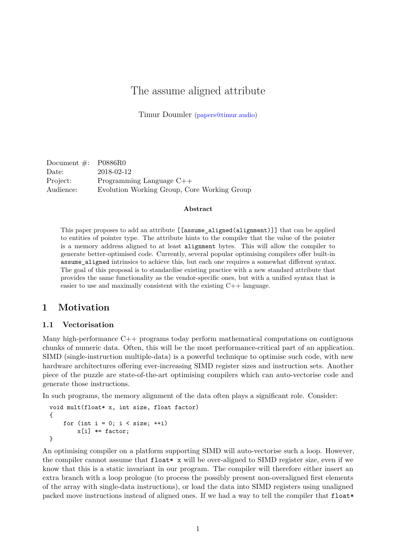# The assume aligned attribute

Timur Doumler [\(papers@timur.audio\)](mailto:papers@timur.audio)

Document #: P0886R0 Date: 2018-02-12 Project: Programming Language C++ Audience: Evolution Working Group, Core Working Group

#### **Abstract**

This paper proposes to add an attribute [[assume\_aligned(alignment)]] that can be applied to entities of pointer type. The attribute hints to the compiler that the value of the pointer is a memory address aligned to at least alignment bytes. This will allow the compiler to generate better-optimised code. Currently, several popular optimising compilers offer built-in assume\_aligned intrinsics to achieve this, but each one requires a somewhat different syntax. The goal of this proposal is to standardise existing practice with a new standard attribute that provides the same functionality as the vendor-specific ones, but with a unified syntax that is easier to use and maximally consistent with the existing C++ language.

## **1 Motivation**

#### **1.1 Vectorisation**

Many high-performance C++ programs today perform mathematical computations on contiguous chunks of numeric data. Often, this will be the most performance-critical part of an application. SIMD (single-instruction multiple-data) is a powerful technique to optimise such code, with new hardware architectures offering ever-increasing SIMD register sizes and instruction sets. Another piece of the puzzle are state-of-the-art optimising compilers which can auto-vectorise code and generate those instructions.

In such programs, the memory alignment of the data often plays a significant role. Consider:

```
void mult(float* x, int size, float factor)
{
    for (int i = 0; i < size; ++i)
        x[i] *= factor;
}
```
An optimising compiler on a platform supporting SIMD will auto-vectorise such a loop. However, the compiler cannot assume that  $float* x$  will be over-aligned to SIMD register size, even if we know that this is a static invariant in our program. The compiler will therefore either insert an extra branch with a loop prologue (to process the possibly present non-overaligned first elements of the array with single-data instructions), or load the data into SIMD registers using unaligned packed move instructions instead of aligned ones. If we had a way to tell the compiler that float\*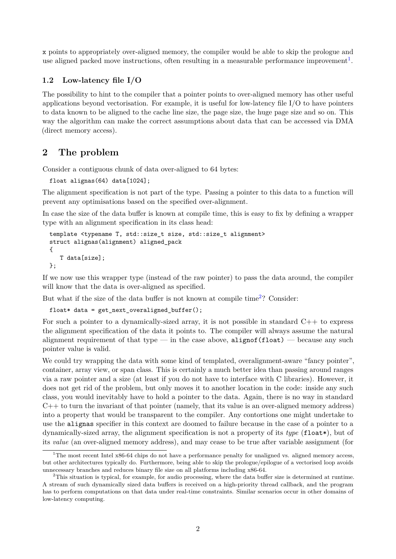x points to appropriately over-aligned memory, the compiler would be able to skip the prologue and use aligned packed move instructions, often resulting in a measurable performance improvement<sup>[1](#page-1-0)</sup>.

#### **1.2 Low-latency file I/O**

The possibility to hint to the compiler that a pointer points to over-aligned memory has other useful applications beyond vectorisation. For example, it is useful for low-latency file I/O to have pointers to data known to be aligned to the cache line size, the page size, the huge page size and so on. This way the algorithm can make the correct assumptions about data that can be accessed via DMA (direct memory access).

## **2 The problem**

Consider a contiguous chunk of data over-aligned to 64 bytes:

```
float alignas(64) data[1024];
```
The alignment specification is not part of the type. Passing a pointer to this data to a function will prevent any optimisations based on the specified over-alignment.

In case the size of the data buffer is known at compile time, this is easy to fix by defining a wrapper type with an alignment specification in its class head:

```
template <typename T, std::size_t size, std::size_t alignment>
struct alignas(alignment) aligned_pack
{
   T data[size];
};
```
If we now use this wrapper type (instead of the raw pointer) to pass the data around, the compiler will know that the data is over-aligned as specified.

But what if the size of the data buffer is not known at compile time<sup>[2](#page-1-1)</sup>? Consider:

```
float* data = get_next_overaligned_buffer();
```
For such a pointer to a dynamically-sized array, it is not possible in standard  $C++$  to express the alignment specification of the data it points to. The compiler will always assume the natural alignment requirement of that type — in the case above, alignof(float) — because any such pointer value is valid.

We could try wrapping the data with some kind of templated, overalignment-aware "fancy pointer". container, array view, or span class. This is certainly a much better idea than passing around ranges via a raw pointer and a size (at least if you do not have to interface with C libraries). However, it does not get rid of the problem, but only moves it to another location in the code: inside any such class, you would inevitably have to hold a pointer to the data. Again, there is no way in standard  $C++$  to turn the invariant of that pointer (namely, that its value is an over-aligned memory address) into a property that would be transparent to the compiler. Any contortions one might undertake to use the alignas specifier in this context are doomed to failure because in the case of a pointer to a dynamically-sized array, the alignment specification is not a property of its *type* (float\*), but of its *value* (an over-aligned memory address), and may cease to be true after variable assignment (for

<span id="page-1-0"></span><sup>&</sup>lt;sup>1</sup>The most recent Intel x86-64 chips do not have a performance penalty for unaligned vs. aligned memory access, but other architectures typically do. Furthermore, being able to skip the prologue/epilogue of a vectorised loop avoids unnecessary branches and reduces binary file size on all platforms including x86-64.

<span id="page-1-1"></span><sup>&</sup>lt;sup>2</sup>This situation is typical, for example, for audio processing, where the data buffer size is determined at runtime. A stream of such dynamically sized data buffers is received on a high-priority thread callback, and the program has to perform computations on that data under real-time constraints. Similar scenarios occur in other domains of low-latency computing.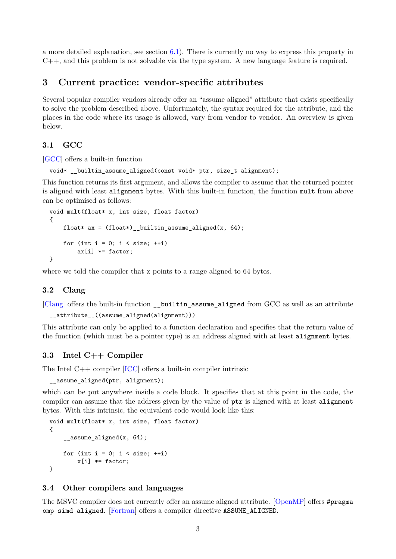a more detailed explanation, see section  $6.1$ ). There is currently no way to express this property in C++, and this problem is not solvable via the type system. A new language feature is required.

## **3 Current practice: vendor-specific attributes**

Several popular compiler vendors already offer an "assume aligned" attribute that exists specifically to solve the problem described above. Unfortunately, the syntax required for the attribute, and the places in the code where its usage is allowed, vary from vendor to vendor. An overview is given below.

#### <span id="page-2-0"></span>**3.1 GCC**

[\[GCC\]](#page-8-0) offers a built-in function

```
void* __builtin_assume_aligned(const void* ptr, size_t alignment);
```
This function returns its first argument, and allows the compiler to assume that the returned pointer is aligned with least alignment bytes. With this built-in function, the function mult from above can be optimised as follows:

```
void mult(float* x, int size, float factor)
{
    float* ax = (float*) _builtin_assume_aligned(x, 64);
    for (int i = 0; i < size; ++i)
        ax[i] *= factor:
}
```
where we told the compiler that x points to a range aligned to 64 bytes.

#### **3.2 Clang**

[\[Clang\]](#page-8-1) offers the built-in function \_\_builtin\_assume\_aligned from GCC as well as an attribute

```
__attribute__((assume_aligned(alignment)))
```
This attribute can only be applied to a function declaration and specifies that the return value of the function (which must be a pointer type) is an address aligned with at least alignment bytes.

#### **3.3 Intel C++ Compiler**

The Intel C++ compiler [\[ICC\]](#page-8-2) offers a built-in compiler intrinsic

assume aligned(ptr, alignment);

which can be put anywhere inside a code block. It specifies that at this point in the code, the compiler can assume that the address given by the value of  $ptr$  is aligned with at least alignment bytes. With this intrinsic, the equivalent code would look like this:

```
void mult(float* x, int size, float factor)
{
    _assume_aligned(x, 64);
    for (int i = 0; i < size; ++i)
        x[i] *= factor;
}
```
#### **3.4 Other compilers and languages**

The MSVC compiler does not currently offer an assume aligned attribute. [\[OpenMP\]](#page-8-3) offers #pragma omp simd aligned. [\[Fortran\]](#page-8-4) offers a compiler directive ASSUME\_ALIGNED.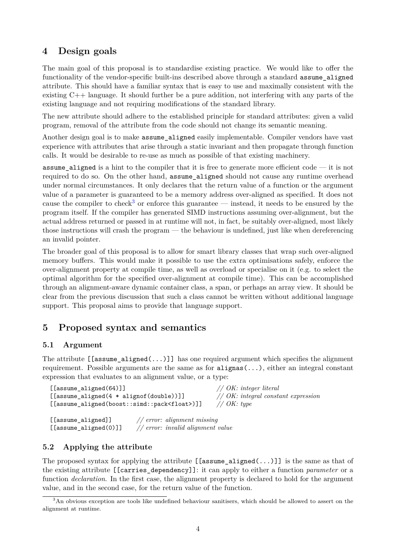## **4 Design goals**

The main goal of this proposal is to standardise existing practice. We would like to offer the functionality of the vendor-specific built-ins described above through a standard assume\_aligned attribute. This should have a familiar syntax that is easy to use and maximally consistent with the existing C++ language. It should further be a pure addition, not interfering with any parts of the existing language and not requiring modifications of the standard library.

The new attribute should adhere to the established principle for standard attributes: given a valid program, removal of the attribute from the code should not change its semantic meaning.

Another design goal is to make assume aligned easily implementable. Compiler vendors have vast experience with attributes that arise through a static invariant and then propagate through function calls. It would be desirable to re-use as much as possible of that existing machinery.

assume aligned is a hint to the compiler that it is free to generate more efficient code  $-$  it is not required to do so. On the other hand, assume\_aligned should not cause any runtime overhead under normal circumstances. It only declares that the return value of a function or the argument value of a parameter is guaranteed to be a memory address over-aligned as specified. It does not cause the compiler to check<sup>[3](#page-3-0)</sup> or enforce this guarantee — instead, it needs to be ensured by the program itself. If the compiler has generated SIMD instructions assuming over-alignment, but the actual address returned or passed in at runtime will not, in fact, be suitably over-aligned, most likely those instructions will crash the program — the behaviour is undefined, just like when dereferencing an invalid pointer.

The broader goal of this proposal is to allow for smart library classes that wrap such over-aligned memory buffers. This would make it possible to use the extra optimisations safely, enforce the over-alignment property at compile time, as well as overload or specialise on it (e.g. to select the optimal algorithm for the specified over-alignment at compile time). This can be accomplished through an alignment-aware dynamic container class, a span, or perhaps an array view. It should be clear from the previous discussion that such a class cannot be written without additional language support. This proposal aims to provide that language support.

## **5 Proposed syntax and semantics**

#### **5.1 Argument**

The attribute  $[\texttt{[assume\_aligned}(\ldots)]]$  has one required argument which specifies the alignment requirement. Possible arguments are the same as for alignas(...), either an integral constant expression that evaluates to an alignment value, or a type:

```
[[assume_aligned(64)]] // OK: integer literal
[[assume_aligned(4 * alignof(double))]] // OK: integral constant expression
[[assume_aligned(boost::simd::pack<float>)]] // OK: type
[[assume_aligned]] // error: alignment missing
```
[[assume\_aligned(0)]] *// error: invalid alignment value*

## **5.2 Applying the attribute**

The proposed syntax for applying the attribute  $[[\text{assume\_aligned}(\ldots)]]$  is the same as that of the existing attribute [[carries\_dependency]]: it can apply to either a function *parameter* or a function *declaration*. In the first case, the alignment property is declared to hold for the argument value, and in the second case, for the return value of the function.

<span id="page-3-0"></span><sup>&</sup>lt;sup>3</sup>An obvious exception are tools like undefined behaviour sanitisers, which should be allowed to assert on the alignment at runtime.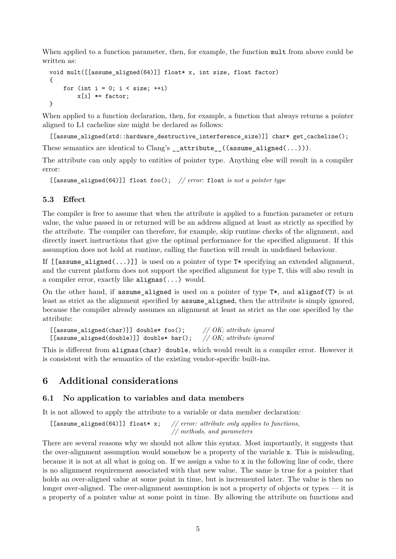When applied to a function parameter, then, for example, the function mult from above could be written as:

```
void mult([[assume_aligned(64)]] float* x, int size, float factor)
{
    for (int i = 0; i < size; ++i)
        x[i] *= factor;
}
```
When applied to a function declaration, then, for example, a function that always returns a pointer aligned to L1 cacheline size might be declared as follows:

[[assume\_aligned(std::hardware\_destructive\_interference\_size)]] char\* get\_cacheline();

These semantics are identical to Clang's  ${\sf _{}}$   ${\sf _{}}$   ${\sf _{}}$  ( ${\sf (assume\_aligned(...))}).$ 

The attribute can only apply to entities of pointer type. Anything else will result in a compiler error:

```
[[assume_aligned(64)]] float foo(); // error: float is not a pointer type
```
#### **5.3 Effect**

The compiler is free to assume that when the attribute is applied to a function parameter or return value, the value passed in or returned will be an address aligned at least as strictly as specified by the attribute. The compiler can therefore, for example, skip runtime checks of the alignment, and directly insert instructions that give the optimal performance for the specified alignment. If this assumption does not hold at runtime, calling the function will result in undefined behaviour.

If  $[\text{[assume\_aligned}(\ldots)]]$  is used on a pointer of type  $T^*$  specifying an extended alignment. and the current platform does not support the specified alignment for type T, this will also result in a compiler error, exactly like alignas(...) would.

On the other hand, if assume aligned is used on a pointer of type  $T^*$ , and alignof(T) is at least as strict as the alignment specified by assume\_aligned, then the attribute is simply ignored, because the compiler already assumes an alignment at least as strict as the one specified by the attribute:

```
[[assume_aligned(char)]] double* foo(); // OK; attribute ignored
[[assume aligned(double)]] double* bar();
```
This is different from alignas(char) double, which would result in a compiler error. However it is consistent with the semantics of the existing vendor-specific built-ins.

## **6 Additional considerations**

#### <span id="page-4-0"></span>**6.1 No application to variables and data members**

It is not allowed to apply the attribute to a variable or data member declaration:

```
[[assume_aligned(64)]] float* x; // error: attribute only applies to functions,
                                      // methods, and parameters
```
There are several reasons why we should not allow this syntax. Most importantly, it suggests that the over-alignment assumption would somehow be a property of the variable x. This is misleading, because it is not at all what is going on. If we assign a value to x in the following line of code, there is no alignment requirement associated with that new value. The same is true for a pointer that holds an over-aligned value at some point in time, but is incremented later. The value is then no longer over-aligned. The over-alignment assumption is not a property of objects or types — it is a property of a pointer value at some point in time. By allowing the attribute on functions and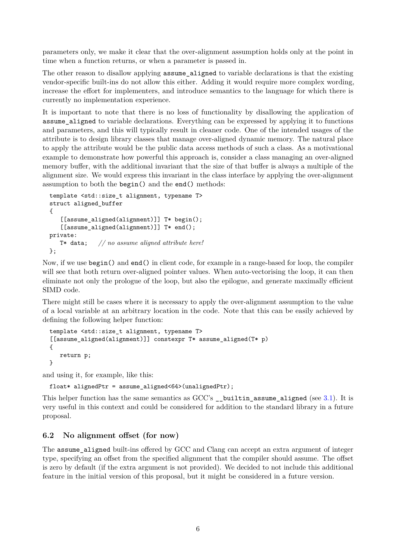parameters only, we make it clear that the over-alignment assumption holds only at the point in time when a function returns, or when a parameter is passed in.

The other reason to disallow applying assume\_aligned to variable declarations is that the existing vendor-specific built-ins do not allow this either. Adding it would require more complex wording, increase the effort for implementers, and introduce semantics to the language for which there is currently no implementation experience.

It is important to note that there is no loss of functionality by disallowing the application of assume aligned to variable declarations. Everything can be expressed by applying it to functions and parameters, and this will typically result in cleaner code. One of the intended usages of the attribute is to design library classes that manage over-aligned dynamic memory. The natural place to apply the attribute would be the public data access methods of such a class. As a motivational example to demonstrate how powerful this approach is, consider a class managing an over-aligned memory buffer, with the additional invariant that the size of that buffer is always a multiple of the alignment size. We would express this invariant in the class interface by applying the over-alignment assumption to both the begin() and the end() methods:

```
template <std::size t alignment, typename T>
struct aligned_buffer
{
   [[assume_aligned(alignment)]] T* begin();
   [[assume_aligned(alignment)]] T* end();
private:
   T* data; // no assume aligned attribute here!
};
```
Now, if we use begin() and end() in client code, for example in a range-based for loop, the compiler will see that both return over-aligned pointer values. When auto-vectorising the loop, it can then eliminate not only the prologue of the loop, but also the epilogue, and generate maximally efficient SIMD code.

There might still be cases where it is necessary to apply the over-alignment assumption to the value of a local variable at an arbitrary location in the code. Note that this can be easily achieved by defining the following helper function:

```
template <std::size t alignment, typename T>
[[assume_aligned(alignment)]] constexpr T* assume_aligned(T* p)
{
   return p;
}
```
and using it, for example, like this:

```
float* alignedPtr = assume_aligned<64>(unalignedPtr);
```
This helper function has the same semantics as  $GCC's$  builtin assume aligned (see [3.1\)](#page-2-0). It is very useful in this context and could be considered for addition to the standard library in a future proposal.

## **6.2 No alignment offset (for now)**

The assume\_aligned built-ins offered by GCC and Clang can accept an extra argument of integer type, specifying an offset from the specified alignment that the compiler should assume. The offset is zero by default (if the extra argument is not provided). We decided to not include this additional feature in the initial version of this proposal, but it might be considered in a future version.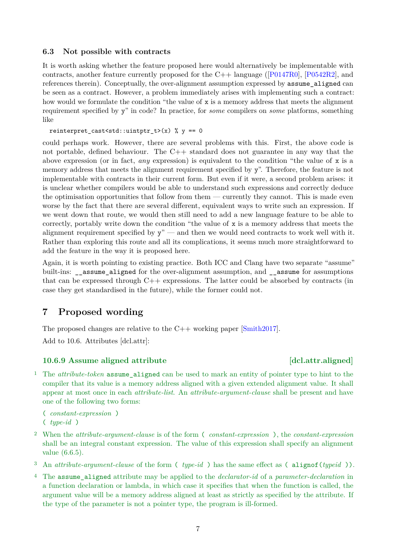#### **6.3 Not possible with contracts**

It is worth asking whether the feature proposed here would alternatively be implementable with contracts, another feature currently proposed for the C++ language ([\[P0147R0\]](#page-8-5), [\[P0542R2\]](#page-8-6), and references therein). Conceptually, the over-alignment assumption expressed by assume\_aligned can be seen as a contract. However, a problem immediately arises with implementing such a contract: how would we formulate the condition "the value of x is a memory address that meets the alignment requirement specified by y" in code? In practice, for *some* compilers on *some* platforms, something like

reinterpret cast<std::uintptr t>(x) % y == 0

could perhaps work. However, there are several problems with this. First, the above code is not portable, defined behaviour. The C++ standard does not guarantee in any way that the above expression (or in fact, *any* expression) is equivalent to the condition "the value of x is a memory address that meets the alignment requirement specified by y". Therefore, the feature is not implementable with contracts in their current form. But even if it were, a second problem arises: it is unclear whether compilers would be able to understand such expressions and correctly deduce the optimisation opportunities that follow from them — currently they cannot. This is made even worse by the fact that there are several different, equivalent ways to write such an expression. If we went down that route, we would then still need to add a new language feature to be able to correctly, portably write down the condition "the value of x is a memory address that meets the alignment requirement specified by  $y''$  — and then we would need contracts to work well with it. Rather than exploring this route and all its complications, it seems much more straightforward to add the feature in the way it is proposed here.

Again, it is worth pointing to existing practice. Both ICC and Clang have two separate "assume" built-ins: \_\_assume\_aligned for the over-alignment assumption, and \_\_assume for assumptions that can be expressed through  $C++$  expressions. The latter could be absorbed by contracts (in case they get standardised in the future), while the former could not.

## **7 Proposed wording**

The proposed changes are relative to the  $C_{++}$  working paper [\[Smith2017\]](#page-8-7).

Add to 10.6. Attributes [dcl.attr]:

## **10.6.9** Assume aligned attribute [dcl.attr.aligned]

<sup>1</sup> The *attribute-token* assume aligned can be used to mark an entity of pointer type to hint to the compiler that its value is a memory address aligned with a given extended alignment value. It shall appear at most once in each *attribute-list*. An *attribute-argument-clause* shall be present and have one of the following two forms:

( *constant-expression* ) ( *type-id* )

- <sup>2</sup> When the *attribute-argument-clause* is of the form ( *constant-expression* ), the *constant-expression* shall be an integral constant expression. The value of this expression shall specify an alignment value (6.6.5).
- <sup>3</sup> An *attribute-argument-clause* of the form ( *type-id* ) has the same effect as ( alignof(*typeid* )).
- <sup>4</sup> The assume\_aligned attribute may be applied to the *declarator-id* of a *parameter-declaration* in a function declaration or lambda, in which case it specifies that when the function is called, the argument value will be a memory address aligned at least as strictly as specified by the attribute. If the type of the parameter is not a pointer type, the program is ill-formed.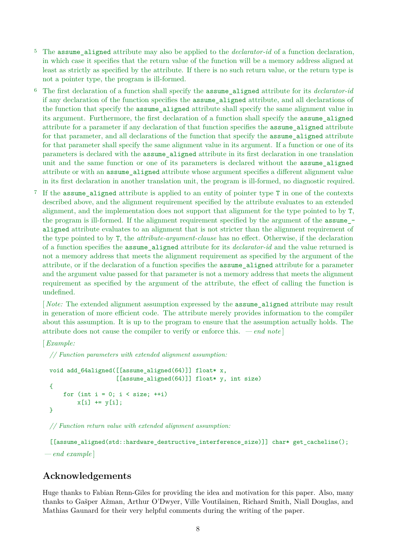- The assume aligned attribute may also be applied to the *declarator-id* of a function declaration, in which case it specifies that the return value of the function will be a memory address aligned at least as strictly as specified by the attribute. If there is no such return value, or the return type is not a pointer type, the program is ill-formed.
- <sup>6</sup> The first declaration of a function shall specify the assume\_aligned attribute for its *declarator-id* if any declaration of the function specifies the assume\_aligned attribute, and all declarations of the function that specify the assume\_aligned attribute shall specify the same alignment value in its argument. Furthermore, the first declaration of a function shall specify the assume\_aligned attribute for a parameter if any declaration of that function specifies the assume\_aligned attribute for that parameter, and all declarations of the function that specify the assume aligned attribute for that parameter shall specify the same alignment value in its argument. If a function or one of its parameters is declared with the assume\_aligned attribute in its first declaration in one translation unit and the same function or one of its parameters is declared without the assume\_aligned attribute or with an assume\_aligned attribute whose argument specifies a different alignment value in its first declaration in another translation unit, the program is ill-formed, no diagnostic required.
- <sup>7</sup> If the assume aligned attribute is applied to an entity of pointer type T in one of the contexts described above, and the alignment requirement specified by the attribute evaluates to an extended alignment, and the implementation does not support that alignment for the type pointed to by T, the program is ill-formed. If the alignment requirement specified by the argument of the assume\_ aligned attribute evaluates to an alignment that is not stricter than the alignment requirement of the type pointed to by T, the *attribute-argument-clause* has no effect. Otherwise, if the declaration of a function specifies the assume\_aligned attribute for its *declarator-id* and the value returned is not a memory address that meets the alignment requirement as specified by the argument of the attribute, or if the declaration of a function specifies the assume\_aligned attribute for a parameter and the argument value passed for that parameter is not a memory address that meets the alignment requirement as specified by the argument of the attribute, the effect of calling the function is undefined.

[ *Note:* The extended alignment assumption expressed by the assume\_aligned attribute may result in generation of more efficient code. The attribute merely provides information to the compiler about this assumption. It is up to the program to ensure that the assumption actually holds. The attribute does not cause the compiler to verify or enforce this. *— end note* ]

[*Example:*

*// Function parameters with extended alignment assumption:*

```
void add 64aligned([[assume aligned(64)]] float* x,
                   [[assume_aligned(64)]] float* y, int size)
{
    for (int i = 0; i < size; +i)
        x[i] += y[i];
}
```
*// Function return value with extended alignment assumption:*

[[assume\_aligned(std::hardware\_destructive\_interference\_size)]] char\* get\_cacheline(); *— end example* ]

## **Acknowledgements**

Huge thanks to Fabian Renn-Giles for providing the idea and motivation for this paper. Also, many thanks to Gašper Ažman, Arthur O'Dwyer, Ville Voutilainen, Richard Smith, Niall Douglas, and Mathias Gaunard for their very helpful comments during the writing of the paper.